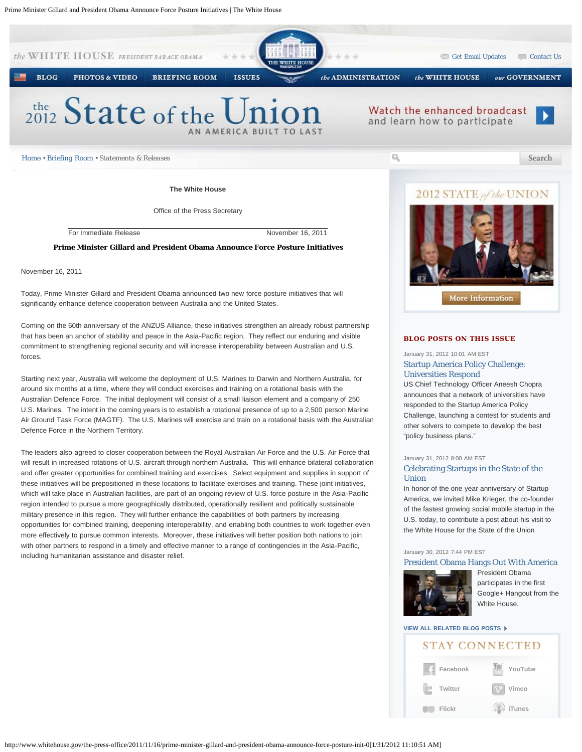

For Immediate Release November 16, 2011

**Prime Minister Gillard and President Obama Announce Force Posture Initiatives**

November 16, 2011

Today, Prime Minister Gillard and President Obama announced two new force posture initiatives that will significantly enhance defence cooperation between Australia and the United States.

Coming on the 60th anniversary of the ANZUS Alliance, these initiatives strengthen an already robust partnership that has been an anchor of stability and peace in the Asia-Pacific region. They reflect our enduring and visible commitment to strengthening regional security and will increase interoperability between Australian and U.S. forces.

Starting next year, Australia will welcome the deployment of U.S. Marines to Darwin and Northern Australia, for around six months at a time, where they will conduct exercises and training on a rotational basis with the Australian Defence Force. The initial deployment will consist of a small liaison element and a company of 250 U.S. Marines. The intent in the coming years is to establish a rotational presence of up to a 2,500 person Marine Air Ground Task Force (MAGTF). The U.S. Marines will exercise and train on a rotational basis with the Australian Defence Force in the Northern Territory.

The leaders also agreed to closer cooperation between the Royal Australian Air Force and the U.S. Air Force that will result in increased rotations of U.S. aircraft through northern Australia. This will enhance bilateral collaboration and offer greater opportunities for combined training and exercises. Select equipment and supplies in support of these initiatives will be prepositioned in these locations to facilitate exercises and training. These joint initiatives, which will take place in Australian facilities, are part of an ongoing review of U.S. force posture in the Asia-Pacific region intended to pursue a more geographically distributed, operationally resilient and politically sustainable military presence in this region. They will further enhance the capabilities of both partners by increasing opportunities for combined training, deepening interoperability, and enabling both countries to work together even more effectively to pursue common interests. Moreover, these initiatives will better position both nations to join with other partners to respond in a timely and effective manner to a range of contingencies in the Asia-Pacific, including humanitarian assistance and disaster relief.

## **BLOG POSTS ON THIS ISSUE**

# January 31, 2012 10:01 AM EST [Startup America Policy Challenge:](http://www.whitehouse.gov/blog/2012/01/31/startup-america-policy-challenge-universities-respond) [Universities Respond](http://www.whitehouse.gov/blog/2012/01/31/startup-america-policy-challenge-universities-respond)

US Chief Technology Officer Aneesh Chopra announces that a network of universities have responded to the Startup America Policy Challenge, launching a contest for students and other solvers to compete to develop the best "policy business plans."

More Information

#### January 31, 2012 8:00 AM EST

## [Celebrating Startups in the State of the](http://www.whitehouse.gov/blog/2012/01/31/celebrating-startups-state-union) [Union](http://www.whitehouse.gov/blog/2012/01/31/celebrating-startups-state-union)

In honor of the one year anniversary of Startup America, we invited Mike Krieger, the co-founder of the fastest growing social mobile startup in the U.S. today, to contribute a post about his visit to the White House for the State of the Union

## January 30, 2012 7:44 PM EST

### [President Obama Hangs Out With America](http://www.whitehouse.gov/blog/2012/01/30/president-obama-hangs-out-america)



[P](http://www.whitehouse.gov/blog/2012/01/30/president-obama-hangs-out-america)resident Obama participates in the first Google+ Hangout from the White House.

# **[VIEW ALL RELATED BLOG POSTS](http://www.whitehouse.gov/blog/issues/white-house)**

# **STAY CONNECTED**